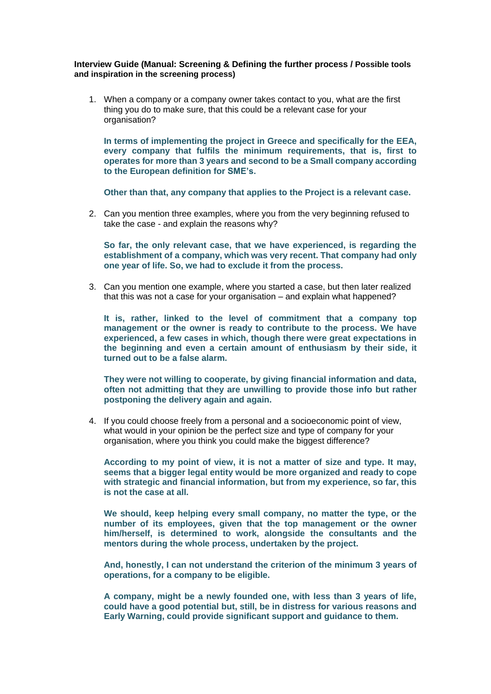## **Interview Guide (Manual: Screening & Defining the further process / Possible tools and inspiration in the screening process)**

1. When a company or a company owner takes contact to you, what are the first thing you do to make sure, that this could be a relevant case for your organisation?

**In terms of implementing the project in Greece and specifically for the EEA, every company that fulfils the minimum requirements, that is, first to operates for more than 3 years and second to be a Small company according to the European definition for SME's.**

**Other than that, any company that applies to the Project is a relevant case.**

2. Can you mention three examples, where you from the very beginning refused to take the case - and explain the reasons why?

**So far, the only relevant case, that we have experienced, is regarding the establishment of a company, which was very recent. That company had only one year of life. So, we had to exclude it from the process.**

3. Can you mention one example, where you started a case, but then later realized that this was not a case for your organisation – and explain what happened?

**It is, rather, linked to the level of commitment that a company top management or the owner is ready to contribute to the process. We have experienced, a few cases in which, though there were great expectations in the beginning and even a certain amount of enthusiasm by their side, it turned out to be a false alarm.**

**They were not willing to cooperate, by giving financial information and data, often not admitting that they are unwilling to provide those info but rather postponing the delivery again and again.**

4. If you could choose freely from a personal and a socioeconomic point of view, what would in your opinion be the perfect size and type of company for your organisation, where you think you could make the biggest difference?

**According to my point of view, it is not a matter of size and type. It may, seems that a bigger legal entity would be more organized and ready to cope with strategic and financial information, but from my experience, so far, this is not the case at all.**

**We should, keep helping every small company, no matter the type, or the number of its employees, given that the top management or the owner him/herself, is determined to work, alongside the consultants and the mentors during the whole process, undertaken by the project.**

**And, honestly, I can not understand the criterion of the minimum 3 years of operations, for a company to be eligible.**

**A company, might be a newly founded one, with less than 3 years of life, could have a good potential but, still, be in distress for various reasons and Early Warning, could provide significant support and guidance to them.**